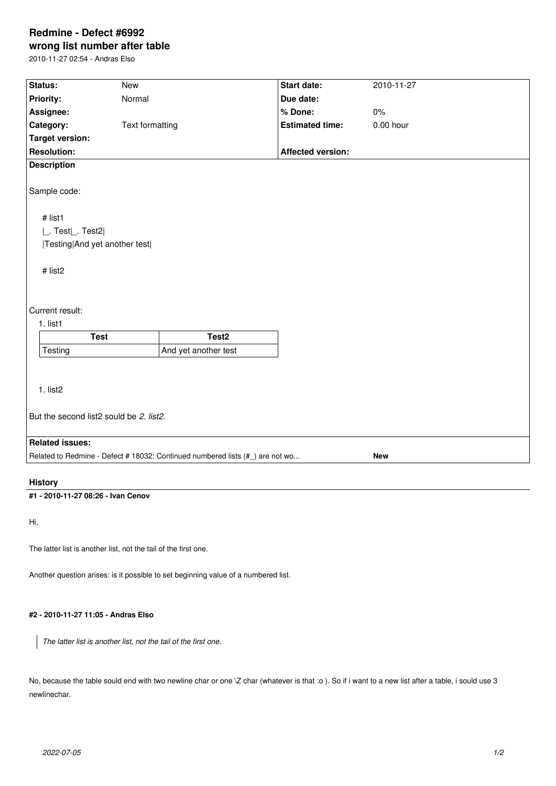## **Redmine - Defect #6992**

**wrong list number after table**

2010-11-27 02:54 - Andras Elso

| Status:                                                                                     | New             |                      | Start date:              | 2010-11-27  |
|---------------------------------------------------------------------------------------------|-----------------|----------------------|--------------------------|-------------|
| Priority:                                                                                   | Normal          |                      | Due date:                |             |
| Assignee:                                                                                   |                 | % Done:              | $0\%$                    |             |
| Category:                                                                                   | Text formatting |                      | <b>Estimated time:</b>   | $0.00$ hour |
| <b>Target version:</b>                                                                      |                 |                      |                          |             |
| <b>Resolution:</b>                                                                          |                 |                      | <b>Affected version:</b> |             |
| <b>Description</b>                                                                          |                 |                      |                          |             |
|                                                                                             |                 |                      |                          |             |
| Sample code:                                                                                |                 |                      |                          |             |
|                                                                                             |                 |                      |                          |             |
| # list1                                                                                     |                 |                      |                          |             |
| $\lfloor$ . Test $\lfloor$ . Test2 $\rfloor$                                                |                 |                      |                          |             |
| Testing And yet another test                                                                |                 |                      |                          |             |
|                                                                                             |                 |                      |                          |             |
| # list2                                                                                     |                 |                      |                          |             |
|                                                                                             |                 |                      |                          |             |
|                                                                                             |                 |                      |                          |             |
| Current result:                                                                             |                 |                      |                          |             |
| 1. list1                                                                                    |                 |                      |                          |             |
| <b>Test</b>                                                                                 |                 | Test <sub>2</sub>    |                          |             |
| Testing                                                                                     |                 | And yet another test |                          |             |
|                                                                                             |                 |                      |                          |             |
|                                                                                             |                 |                      |                          |             |
| 1. list2                                                                                    |                 |                      |                          |             |
|                                                                                             |                 |                      |                          |             |
| But the second list2 sould be 2. list2.                                                     |                 |                      |                          |             |
|                                                                                             |                 |                      |                          |             |
| <b>Related issues:</b>                                                                      |                 |                      |                          |             |
| Related to Redmine - Defect # 18032: Continued numbered lists (#_) are not wo<br><b>New</b> |                 |                      |                          |             |
|                                                                                             |                 |                      |                          |             |
| <b>History</b>                                                                              |                 |                      |                          |             |

**#1 - 2010-11-27 08:26 - Ivan Cenov**

Hi,

The latter list is another list, not the tail of the first one.

Another question arises: is it possible to set beginning value of a numbered list.

## **#2 - 2010-11-27 11:05 - Andras Elso**

*The latter list is another list, not the tail of the first one.*

No, because the table sould end with two newline char or one  $\vee$  char (whatever is that :o ). So if i want to a new list after a table, i sould use 3 newlinechar.